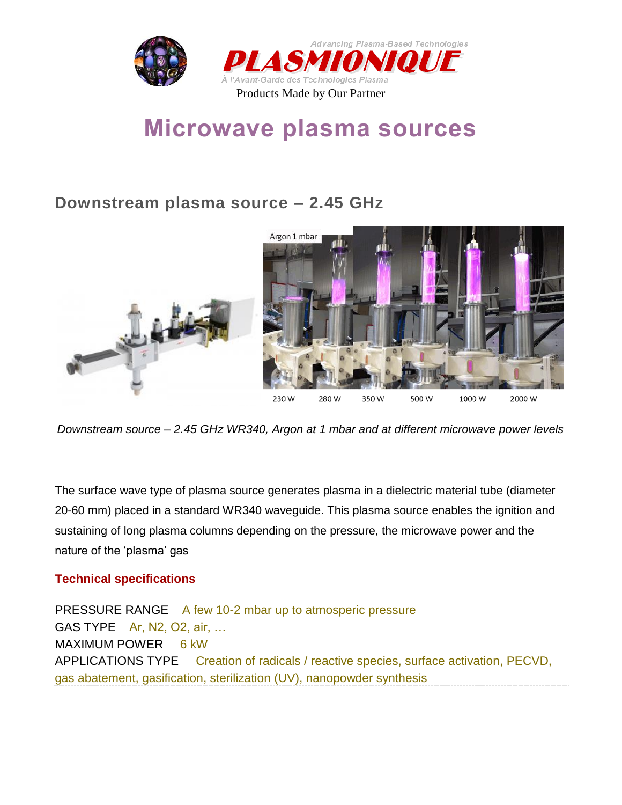

# **Microwave plasma sources**

### **Downstream plasma source – 2.45 GHz**



*Downstream source – 2.45 GHz WR340, Argon at 1 mbar and at different microwave power levels*

The surface wave type of plasma source generates plasma in a dielectric material tube (diameter 20-60 mm) placed in a standard WR340 waveguide. This plasma source enables the ignition and sustaining of long plasma columns depending on the pressure, the microwave power and the nature of the 'plasma' gas

#### **Technical specifications**

PRESSURE RANGE A few 10-2 mbar up to atmosperic pressure GAS TYPE Ar, N2, O2, air, … MAXIMUM POWER 6 kW APPLICATIONS TYPE Creation of radicals / reactive species, surface activation, PECVD, gas abatement, gasification, sterilization (UV), nanopowder synthesis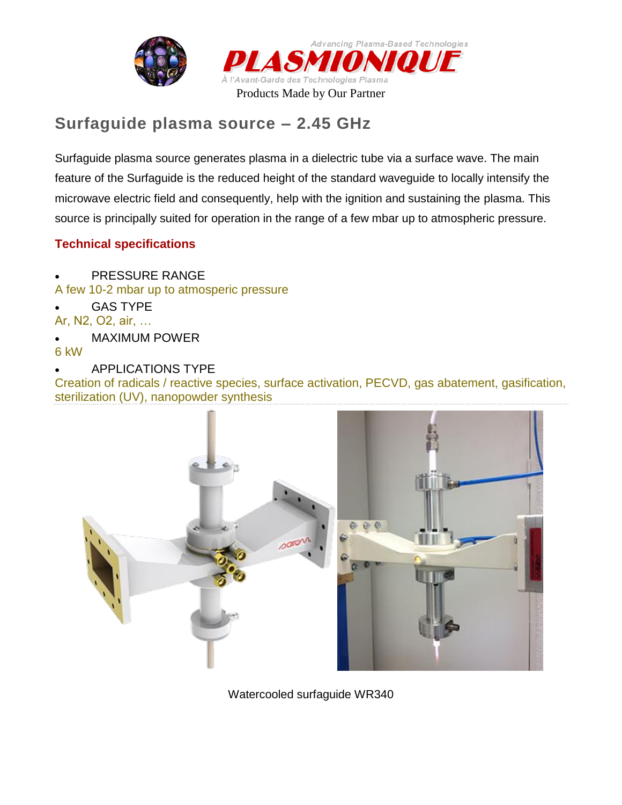



# **Surfaguide plasma source – 2.45 GHz**

Surfaguide plasma source generates plasma in a dielectric tube via a surface wave. The main feature of the Surfaguide is the reduced height of the standard waveguide to locally intensify the microwave electric field and consequently, help with the ignition and sustaining the plasma. This source is principally suited for operation in the range of a few mbar up to atmospheric pressure.

#### **Technical specifications**

- PRESSURE RANGE
- A few 10-2 mbar up to atmosperic pressure
- GAS TYPE
- Ar, N2, O2, air, …
- MAXIMUM POWER
- 6 kW
- APPLICATIONS TYPE

Creation of radicals / reactive species, surface activation, PECVD, gas abatement, gasification, sterilization (UV), nanopowder synthesis



Watercooled surfaguide WR340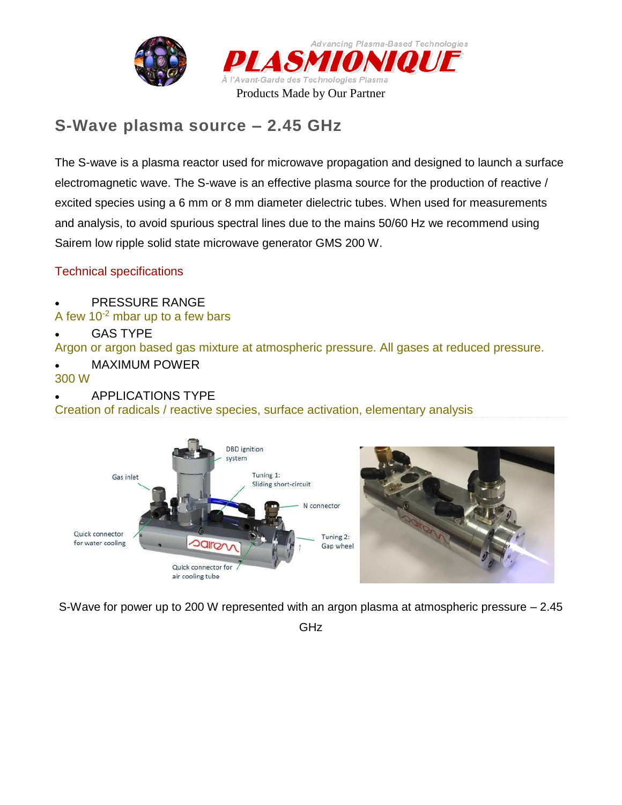



### **S-Wave plasma source – 2.45 GHz**

The S-wave is a plasma reactor used for microwave propagation and designed to launch a surface electromagnetic wave. The S-wave is an effective plasma source for the production of reactive / excited species using a 6 mm or 8 mm diameter dielectric tubes. When used for measurements and analysis, to avoid spurious spectral lines due to the mains 50/60 Hz we recommend using Sairem low ripple solid state microwave generator GMS 200 W.

#### Technical specifications

- PRESSURE RANGE
- A few  $10^{-2}$  mbar up to a few bars
- GAS TYPE

Argon or argon based gas mixture at atmospheric pressure. All gases at reduced pressure.

MAXIMUM POWER

#### 300 W

APPLICATIONS TYPE

Creation of radicals / reactive species, surface activation, elementary analysis



S-Wave for power up to 200 W represented with an argon plasma at atmospheric pressure – 2.45

GHz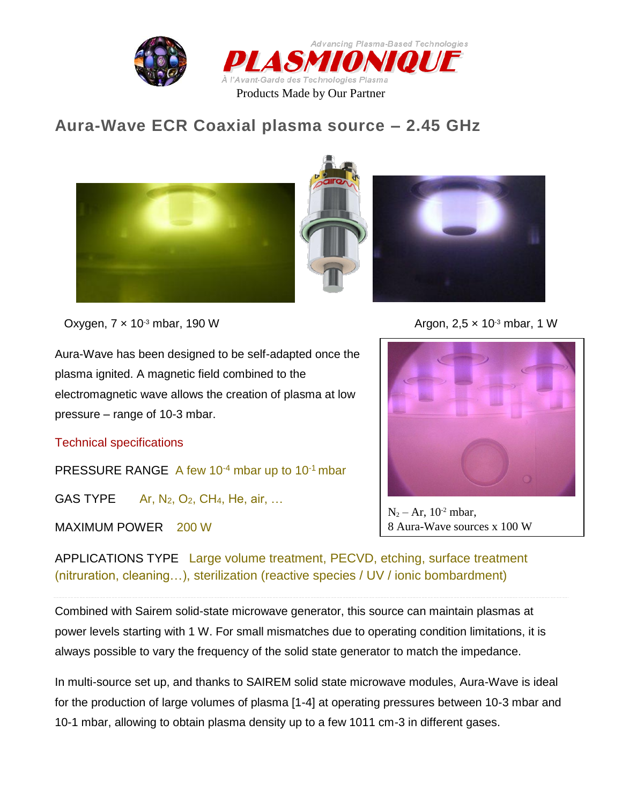![](_page_3_Picture_0.jpeg)

![](_page_3_Picture_1.jpeg)

### **Aura-Wave ECR Coaxial plasma source – 2.45 GHz**

![](_page_3_Picture_3.jpeg)

Oxygen, 7 x 10<sup>-3</sup> mbar, 190 W **Argon, 2,5 x 10<sup>-3</sup> mbar, 1 W** 

Aura-Wave has been designed to be self-adapted once the plasma ignited. A magnetic field combined to the electromagnetic wave allows the creation of plasma at low pressure – range of 10-3 mbar.

Technical specifications

PRESSURE RANGE A few  $10^{-4}$  mbar up to  $10^{-1}$  mbar

GAS TYPE  $Ar, N_2, O_2, CH_4, He, air, ...$ 

MAXIMUM POWER 200 W

![](_page_3_Picture_10.jpeg)

 $N_2 - Ar$ , 10<sup>-2</sup> mbar, 8 Aura-Wave sources x 100 W

APPLICATIONS TYPE Large volume treatment, PECVD, etching, surface treatment (nitruration, cleaning…), sterilization (reactive species / UV / ionic bombardment)

Combined with Sairem solid-state microwave generator, this source can maintain plasmas at power levels starting with 1 W. For small mismatches due to operating condition limitations, it is always possible to vary the frequency of the solid state generator to match the impedance.

In multi-source set up, and thanks to SAIREM solid state microwave modules, Aura-Wave is ideal for the production of large volumes of plasma [1-4] at operating pressures between 10-3 mbar and 10-1 mbar, allowing to obtain plasma density up to a few 1011 cm-3 in different gases.